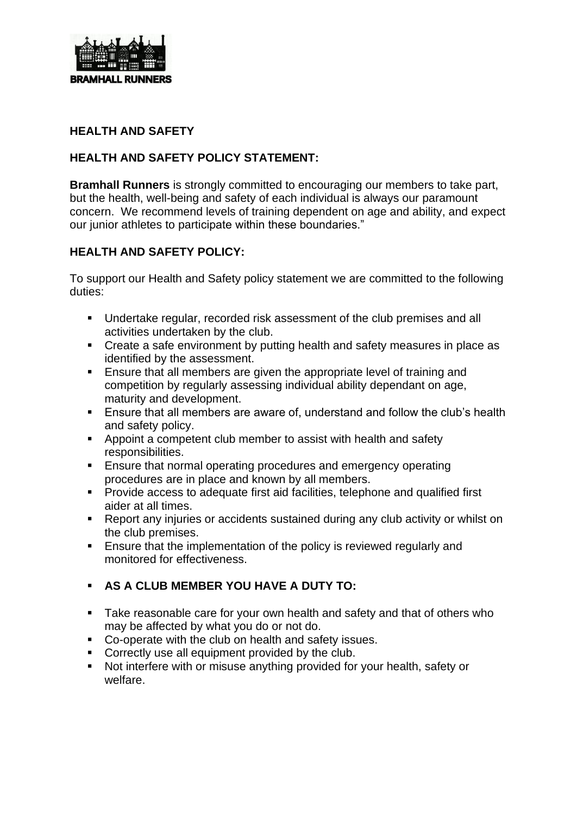

#### **HEALTH AND SAFETY**

#### **HEALTH AND SAFETY POLICY STATEMENT:**

**Bramhall Runners** is strongly committed to encouraging our members to take part, but the health, well-being and safety of each individual is always our paramount concern. We recommend levels of training dependent on age and ability, and expect our junior athletes to participate within these boundaries."

## **HEALTH AND SAFETY POLICY:**

To support our Health and Safety policy statement we are committed to the following duties:

- Undertake regular, recorded risk assessment of the club premises and all activities undertaken by the club.
- Create a safe environment by putting health and safety measures in place as identified by the assessment.
- Ensure that all members are given the appropriate level of training and competition by regularly assessing individual ability dependant on age, maturity and development.
- Ensure that all members are aware of, understand and follow the club's health and safety policy.
- Appoint a competent club member to assist with health and safety responsibilities.
- Ensure that normal operating procedures and emergency operating procedures are in place and known by all members.
- Provide access to adequate first aid facilities, telephone and qualified first aider at all times.
- Report any injuries or accidents sustained during any club activity or whilst on the club premises.
- Ensure that the implementation of the policy is reviewed regularly and monitored for effectiveness.

## ▪ **AS A CLUB MEMBER YOU HAVE A DUTY TO:**

- Take reasonable care for your own health and safety and that of others who may be affected by what you do or not do.
- Co-operate with the club on health and safety issues.
- Correctly use all equipment provided by the club.
- Not interfere with or misuse anything provided for your health, safety or welfare.